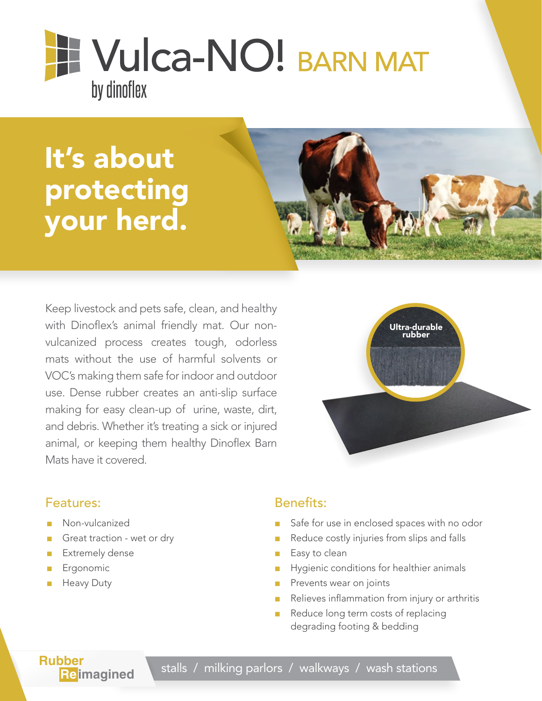# **TE Vulca-NO! BARN MAT** by dinoflex

## It's about protecting your herd.



Keep livestock and pets safe, clean, and healthy with Dinoflex's animal friendly mat. Our nonvulcanized process creates tough, odorless mats without the use of harmful solvents or VOC's making them safe for indoor and outdoor use. Dense rubber creates an anti-slip surface making for easy clean-up of urine, waste, dirt, and debris. Whether it's treating a sick or injured animal, or keeping them healthy Dinoflex Barn Mats have it covered.



#### Features:

- Non-vulcanized
- Great traction wet or dry
- **Extremely dense**
- **Ergonomic**
- **Heavy Duty**

#### Benefits:

- Safe for use in enclosed spaces with no odor
- Reduce costly injuries from slips and falls
- Easy to clean
- Hygienic conditions for healthier animals
- Prevents wear on joints
- Relieves inflammation from injury or arthritis
- Reduce long term costs of replacing degrading footing & bedding

**Rubber**<br>**Reimagined** 

stalls / milking parlors / walkways / wash stations